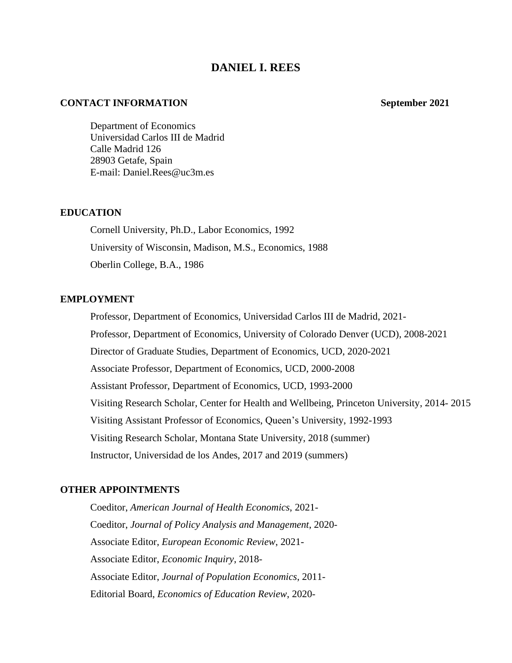# **DANIEL I. REES**

### **CONTACT INFORMATION** September 2021

Department of Economics Universidad Carlos III de Madrid Calle Madrid 126 28903 Getafe, Spain E-mail: [Daniel.Rees@uc3m.es](mailto:Daniel.Rees@uc3m.es)

#### **EDUCATION**

Cornell University, Ph.D., Labor Economics, 1992 University of Wisconsin, Madison, M.S., Economics, 1988 Oberlin College, B.A., 1986

## **EMPLOYMENT**

Professor, Department of Economics, Universidad Carlos III de Madrid, 2021- Professor, Department of Economics, University of Colorado Denver (UCD), 2008-2021 Director of Graduate Studies, Department of Economics, UCD, 2020-2021 Associate Professor, Department of Economics, UCD, 2000-2008 Assistant Professor, Department of Economics, UCD, 1993-2000 Visiting Research Scholar, Center for Health and Wellbeing, Princeton University, 2014- 2015 Visiting Assistant Professor of Economics, Queen's University, 1992-1993 Visiting Research Scholar, Montana State University, 2018 (summer) Instructor, Universidad de los Andes, 2017 and 2019 (summers)

## **OTHER APPOINTMENTS**

Coeditor, *American Journal of Health Economics*, 2021- Coeditor, *Journal of Policy Analysis and Management*, 2020- Associate Editor, *European Economic Review*, 2021- Associate Editor, *Economic Inquiry*, 2018- Associate Editor, *Journal of Population Economics*, 2011- Editorial Board, *Economics of Education Review*, 2020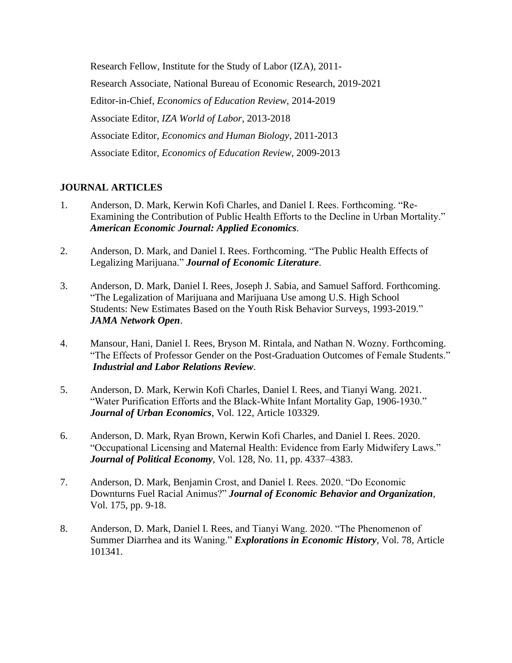Research Fellow, Institute for the Study of Labor (IZA), 2011- Research Associate, National Bureau of Economic Research, 2019-2021 Editor-in-Chief, *Economics of Education Review*, 2014-2019 Associate Editor, *IZA World of Labor*, 2013-2018 Associate Editor, *Economics and Human Biology*, 2011-2013 Associate Editor, *Economics of Education Review*, 2009-2013

# **JOURNAL ARTICLES**

- 1. Anderson, D. Mark, Kerwin Kofi Charles, and Daniel I. Rees. Forthcoming. "Re-Examining the Contribution of Public Health Efforts to the Decline in Urban Mortality." *American Economic Journal: Applied Economics*.
- 2. Anderson, D. Mark, and Daniel I. Rees. Forthcoming. "The Public Health Effects of Legalizing Marijuana." *Journal of Economic Literature*.
- 3. Anderson, D. Mark, Daniel I. Rees, Joseph J. Sabia, and Samuel Safford. Forthcoming. "The Legalization of Marijuana and Marijuana Use among U.S. High School Students: New Estimates Based on the Youth Risk Behavior Surveys, 1993-2019." *JAMA Network Open*.
- 4. Mansour, Hani, Daniel I. Rees, Bryson M. Rintala, and Nathan N. Wozny. Forthcoming. "The Effects of Professor Gender on the Post-Graduation Outcomes of Female Students." *Industrial and Labor Relations Review*.
- 5. Anderson, D. Mark, Kerwin Kofi Charles, Daniel I. Rees, and Tianyi Wang. 2021. "Water Purification Efforts and the Black-White Infant Mortality Gap, 1906-1930." *Journal of Urban Economics*, Vol. 122, Article 103329.
- 6. Anderson, D. Mark, Ryan Brown, Kerwin Kofi Charles, and Daniel I. Rees. 2020. "Occupational Licensing and Maternal Health: Evidence from Early Midwifery Laws." *Journal of Political Economy*, Vol. 128, No. 11, pp. 4337–4383.
- 7. Anderson, D. Mark, Benjamin Crost, and Daniel I. Rees. 2020. "Do Economic Downturns Fuel Racial Animus?" *Journal of Economic Behavior and Organization*, Vol. 175, pp. 9-18.
- 8. Anderson, D. Mark, Daniel I. Rees, and Tianyi Wang. 2020. "The Phenomenon of Summer Diarrhea and its Waning." *Explorations in Economic History*, Vol. 78, Article 101341.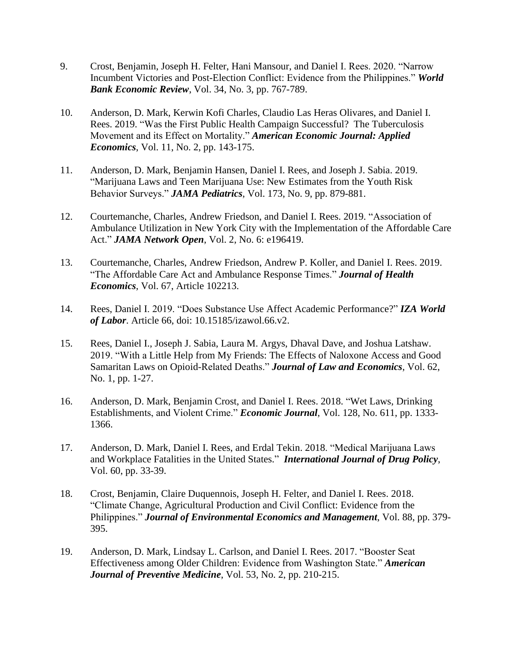- 9. Crost, Benjamin, Joseph H. Felter, Hani Mansour, and Daniel I. Rees. 2020. "Narrow Incumbent Victories and Post-Election Conflict: Evidence from the Philippines." *World Bank Economic Review*, Vol. 34, No. 3, pp. 767-789.
- 10. Anderson, D. Mark, Kerwin Kofi Charles, Claudio Las Heras Olivares, and Daniel I. Rees. 2019. "Was the First Public Health Campaign Successful? The Tuberculosis Movement and its Effect on Mortality." *American Economic Journal: Applied Economics*, Vol. 11, No. 2, pp. 143-175.
- 11. Anderson, D. Mark, Benjamin Hansen, Daniel I. Rees, and Joseph J. Sabia. 2019. "Marijuana Laws and Teen Marijuana Use: New Estimates from the Youth Risk Behavior Surveys." *JAMA Pediatrics*, Vol. 173, No. 9, pp. 879-881.
- 12. Courtemanche, Charles, Andrew Friedson, and Daniel I. Rees. 2019. "Association of Ambulance Utilization in New York City with the Implementation of the Affordable Care Act." *JAMA Network Open*, Vol. 2, No. 6: e196419.
- 13. Courtemanche, Charles, Andrew Friedson, Andrew P. Koller, and Daniel I. Rees. 2019. "The Affordable Care Act and Ambulance Response Times." *Journal of Health Economics*, Vol. 67, Article 102213.
- 14. Rees, Daniel I. 2019. "Does Substance Use Affect Academic Performance?" *IZA World of Labor*. Article 66, doi: 10.15185/izawol.66.v2.
- 15. Rees, Daniel I., Joseph J. Sabia, Laura M. Argys, Dhaval Dave, and Joshua Latshaw. 2019. "With a Little Help from My Friends: The Effects of Naloxone Access and Good Samaritan Laws on Opioid-Related Deaths." *Journal of Law and Economics*, Vol. 62, No. 1, pp. 1-27.
- 16. Anderson, D. Mark, Benjamin Crost, and Daniel I. Rees. 2018. "Wet Laws, Drinking Establishments, and Violent Crime." *Economic Journal*, Vol. 128, No. 611, pp. 1333- 1366.
- 17. Anderson, D. Mark, Daniel I. Rees, and Erdal Tekin. 2018. "Medical Marijuana Laws and Workplace Fatalities in the United States." *International Journal of Drug Policy*, Vol. 60, pp. 33-39.
- 18. Crost, Benjamin, Claire Duquennois, Joseph H. Felter, and Daniel I. Rees. 2018. "Climate Change, Agricultural Production and Civil Conflict: Evidence from the Philippines." *Journal of Environmental Economics and Management*, Vol. 88, pp. 379- 395.
- 19. Anderson, D. Mark, Lindsay L. Carlson, and Daniel I. Rees. 2017. "Booster Seat Effectiveness among Older Children: Evidence from Washington State." *American Journal of Preventive Medicine*, Vol. 53, No. 2, pp. 210-215.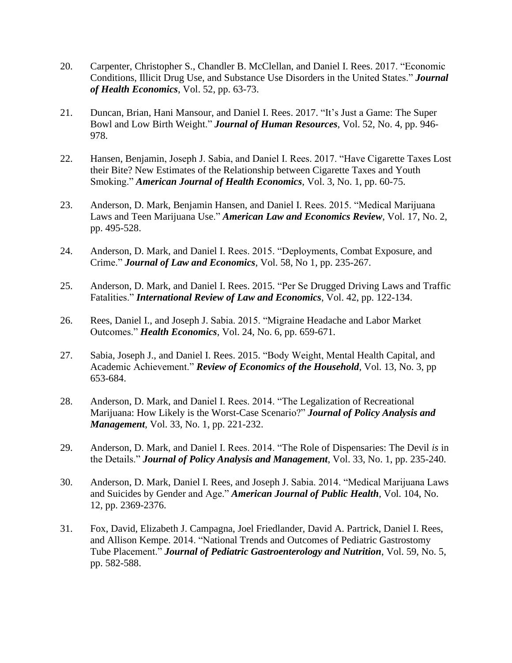- 20. Carpenter, Christopher S., Chandler B. McClellan, and Daniel I. Rees. 2017. "Economic Conditions, Illicit Drug Use, and Substance Use Disorders in the United States." *Journal of Health Economics*, Vol. 52, pp. 63-73.
- 21. Duncan, Brian, Hani Mansour, and Daniel I. Rees. 2017. "It's Just a Game: The Super Bowl and Low Birth Weight." *Journal of Human Resources*, Vol. 52, No. 4, pp. 946- 978.
- 22. Hansen, Benjamin, Joseph J. Sabia, and Daniel I. Rees. 2017. "Have Cigarette Taxes Lost their Bite? New Estimates of the Relationship between Cigarette Taxes and Youth Smoking." *American Journal of Health Economics*, Vol. 3, No. 1, pp. 60-75.
- 23. Anderson, D. Mark, Benjamin Hansen, and Daniel I. Rees. 2015. "Medical Marijuana Laws and Teen Marijuana Use." *American Law and Economics Review*, Vol. 17, No. 2, pp. 495-528.
- 24. Anderson, D. Mark, and Daniel I. Rees. 2015. "Deployments, Combat Exposure, and Crime." *Journal of Law and Economics*, Vol. 58, No 1, pp. 235-267.
- 25. Anderson, D. Mark, and Daniel I. Rees. 2015. "Per Se Drugged Driving Laws and Traffic Fatalities." *International Review of Law and Economics*, Vol. 42, pp. 122-134.
- 26. Rees, Daniel I., and Joseph J. Sabia. 2015. "Migraine Headache and Labor Market Outcomes." *Health Economics*, Vol. 24, No. 6, pp. 659-671.
- 27. Sabia, Joseph J., and Daniel I. Rees. 2015. "Body Weight, Mental Health Capital, and Academic Achievement." *Review of Economics of the Household*, Vol. 13, No. 3, pp 653-684.
- 28. Anderson, D. Mark, and Daniel I. Rees. 2014. "The Legalization of Recreational Marijuana: How Likely is the Worst-Case Scenario?" *Journal of Policy Analysis and Management*, Vol. 33, No. 1, pp. 221-232.
- 29. Anderson, D. Mark, and Daniel I. Rees. 2014. "The Role of Dispensaries: The Devil *is* in the Details." *Journal of Policy Analysis and Management*, Vol. 33, No. 1, pp. 235-240.
- 30. Anderson, D. Mark, Daniel I. Rees, and Joseph J. Sabia. 2014. "Medical Marijuana Laws and Suicides by Gender and Age." *American Journal of Public Health*, Vol. 104, No. 12, pp. 2369-2376.
- 31. Fox, David, Elizabeth J. Campagna, Joel Friedlander, David A. Partrick, Daniel I. Rees, and Allison Kempe. 2014. "National Trends and Outcomes of Pediatric Gastrostomy Tube Placement." *Journal of Pediatric Gastroenterology and Nutrition*, Vol. 59, No. 5, pp. 582-588.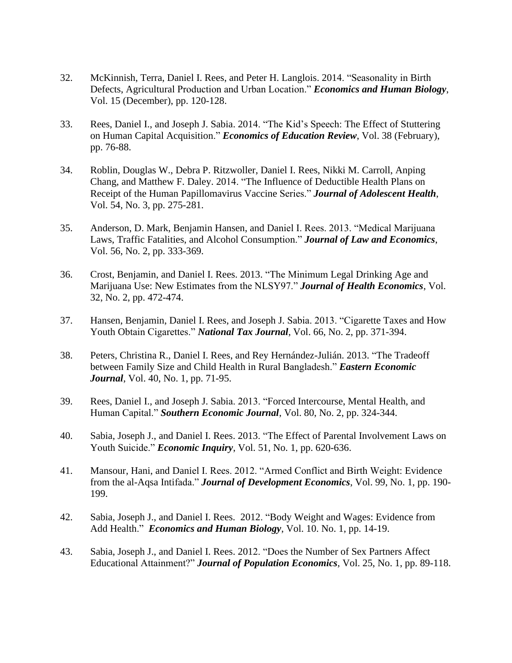- 32. McKinnish, Terra, Daniel I. Rees, and Peter H. Langlois. 2014. "Seasonality in Birth Defects, Agricultural Production and Urban Location." *Economics and Human Biology*, Vol. 15 (December), pp. 120-128.
- 33. Rees, Daniel I., and Joseph J. Sabia. 2014. "The Kid's Speech: The Effect of Stuttering on Human Capital Acquisition." *Economics of Education Review*, Vol. 38 (February), pp. 76-88.
- 34. Roblin, Douglas W., Debra P. Ritzwoller, Daniel I. Rees, Nikki M. Carroll, Anping Chang, and Matthew F. Daley. 2014. "The Influence of Deductible Health Plans on Receipt of the Human Papillomavirus Vaccine Series." *Journal of Adolescent Health*, Vol. 54, No. 3, pp. 275-281.
- 35. Anderson, D. Mark, Benjamin Hansen, and Daniel I. Rees. 2013. "Medical Marijuana Laws, Traffic Fatalities, and Alcohol Consumption." *Journal of Law and Economics*, Vol. 56, No. 2, pp. 333-369.
- 36. Crost, Benjamin, and Daniel I. Rees. 2013. "The Minimum Legal Drinking Age and Marijuana Use: New Estimates from the NLSY97." *Journal of Health Economics*, Vol. 32, No. 2, pp. 472-474.
- 37. Hansen, Benjamin, Daniel I. Rees, and Joseph J. Sabia. 2013. "Cigarette Taxes and How Youth Obtain Cigarettes." *National Tax Journal*, Vol. 66, No. 2, pp. 371-394.
- 38. Peters, Christina R., Daniel I. Rees, and Rey Hernández-Julián. 2013. "The Tradeoff between Family Size and Child Health in Rural Bangladesh." *Eastern Economic Journal*, Vol. 40, No. 1, pp. 71-95.
- 39. Rees, Daniel I., and Joseph J. Sabia. 2013. "Forced Intercourse, Mental Health, and Human Capital." *Southern Economic Journal*, Vol. 80, No. 2, pp. 324-344.
- 40. Sabia, Joseph J., and Daniel I. Rees. 2013. "The Effect of Parental Involvement Laws on Youth Suicide." *Economic Inquiry*, Vol. 51, No. 1, pp. 620-636.
- 41. Mansour, Hani, and Daniel I. Rees. 2012. "Armed Conflict and Birth Weight: Evidence from the al-Aqsa Intifada." *Journal of Development Economics*, Vol. 99, No. 1, pp. 190- 199.
- 42. Sabia, Joseph J., and Daniel I. Rees. 2012. "Body Weight and Wages: Evidence from Add Health." *Economics and Human Biology*, Vol. 10. No. 1, pp. 14-19.
- 43. Sabia, Joseph J., and Daniel I. Rees. 2012. "Does the Number of Sex Partners Affect Educational Attainment?" *Journal of Population Economics*, [Vol. 25,](http://www.springerlink.com/content/0933-1433/25/1/) No. 1, pp. 89-118.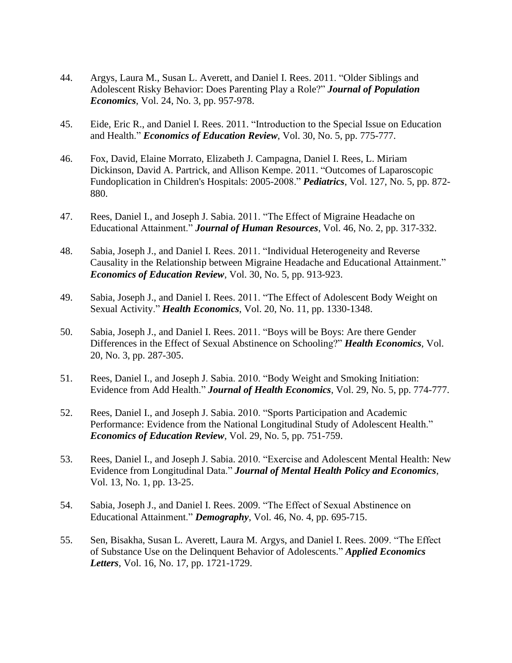- 44. Argys, Laura M., Susan L. Averett, and Daniel I. Rees. 2011. "Older Siblings and Adolescent Risky Behavior: Does Parenting Play a Role?" *Journal of Population Economics*, Vol. 24, No. 3, pp. 957-978.
- 45. Eide, Eric R., and Daniel I. Rees. 2011. "Introduction to the Special Issue on Education and Health." *Economics of Education Review*, Vol. 30, No. 5, pp. 775-777.
- 46. Fox, David, Elaine Morrato, Elizabeth J. Campagna, Daniel I. Rees, L. Miriam Dickinson, David A. Partrick, and Allison Kempe. 2011. "Outcomes of Laparoscopic Fundoplication in Children's Hospitals: 2005-2008." *Pediatrics*, Vol. 127, No. 5, pp. 872- 880.
- 47. Rees, Daniel I., and Joseph J. Sabia. 2011. "The Effect of Migraine Headache on Educational Attainment." *Journal of Human Resources*, Vol. 46, No. 2, pp. 317-332.
- 48. Sabia, Joseph J., and Daniel I. Rees. 2011. "Individual Heterogeneity and Reverse Causality in the Relationship between Migraine Headache and Educational Attainment." *Economics of Education Review*, Vol. 30, No. 5, pp. 913-923.
- 49. Sabia, Joseph J., and Daniel I. Rees. 2011. "The Effect of Adolescent Body Weight on Sexual Activity." *Health Economics*, Vol. 20, No. 11, pp. 1330-1348.
- 50. Sabia, Joseph J., and Daniel I. Rees. 2011. "Boys will be Boys: Are there Gender Differences in the Effect of Sexual Abstinence on Schooling?" *Health Economics*, Vol. 20, No. 3, pp. 287-305.
- 51. Rees, Daniel I., and Joseph J. Sabia. 2010. "Body Weight and Smoking Initiation: Evidence from Add Health." *Journal of Health Economics*, Vol. 29, No. 5, pp. 774-777.
- 52. Rees, Daniel I., and Joseph J. Sabia. 2010. "Sports Participation and Academic Performance: Evidence from the National Longitudinal Study of Adolescent Health." *Economics of Education Review*, Vol. 29, No. 5, pp. 751-759.
- 53. Rees, Daniel I., and Joseph J. Sabia. 2010. "Exercise and Adolescent Mental Health: New Evidence from Longitudinal Data." *Journal of Mental Health Policy and Economics*, Vol. 13, No. 1, pp. 13-25.
- 54. Sabia, Joseph J., and Daniel I. Rees. 2009. "The Effect of Sexual Abstinence on Educational Attainment." *Demography*, Vol. 46, No. 4, pp. 695-715.
- 55. Sen, Bisakha, Susan L. Averett, Laura M. Argys, and Daniel I. Rees. 2009. "The Effect of Substance Use on the Delinquent Behavior of Adolescents." *Applied Economics Letters*, Vol. 16, No. 17, pp. 1721-1729.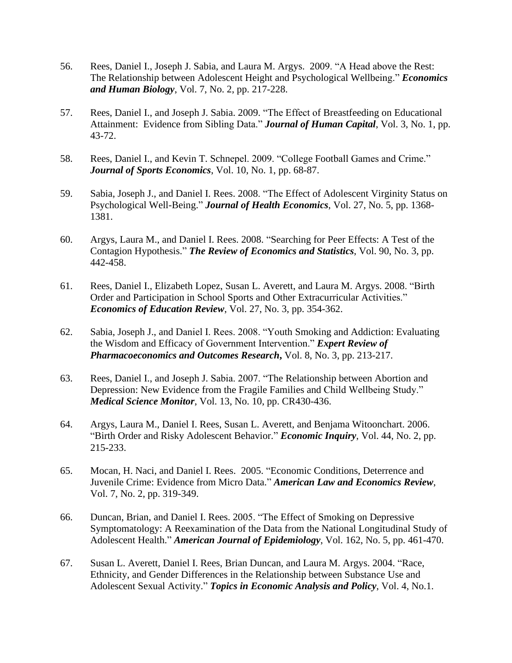- 56. Rees, Daniel I., Joseph J. Sabia, and Laura M. Argys. 2009. "A Head above the Rest: The Relationship between Adolescent Height and Psychological Wellbeing." *Economics and Human Biology*, Vol. 7, No. 2, pp. 217-228.
- 57. Rees, Daniel I., and Joseph J. Sabia. 2009. "The Effect of Breastfeeding on Educational Attainment: Evidence from Sibling Data." *Journal of Human Capital*, Vol. 3, No. 1, pp. 43-72.
- 58. Rees, Daniel I., and Kevin T. Schnepel. 2009. "College Football Games and Crime." *Journal of Sports Economics*, Vol. 10, No. 1, pp. 68-87.
- 59. Sabia, Joseph J., and Daniel I. Rees. 2008. "The Effect of Adolescent Virginity Status on Psychological Well-Being." *Journal of Health Economics*, Vol. 27, No. 5, pp. 1368- 1381.
- 60. Argys, Laura M., and Daniel I. Rees. 2008. "Searching for Peer Effects: A Test of the Contagion Hypothesis." *The Review of Economics and Statistics*, Vol. 90, No. 3, pp. 442-458.
- 61. Rees, Daniel I., Elizabeth Lopez, Susan L. Averett, and Laura M. Argys. 2008. "Birth Order and Participation in School Sports and Other Extracurricular Activities." *Economics of Education Review*, Vol. 27, No. 3, pp. 354-362.
- 62. Sabia, Joseph J., and Daniel I. Rees. 2008. "Youth Smoking and Addiction: Evaluating the Wisdom and Efficacy of Government Intervention." *Expert Review of Pharmacoeconomics and Outcomes Research***,** Vol. 8, No. 3, pp. 213-217.
- 63. Rees, Daniel I., and Joseph J. Sabia. 2007. "The Relationship between Abortion and Depression: New Evidence from the Fragile Families and Child Wellbeing Study." *Medical Science Monitor*, Vol. 13, No. 10, pp. CR430-436.
- 64. Argys, Laura M., Daniel I. Rees, Susan L. Averett, and Benjama Witoonchart. 2006. "Birth Order and Risky Adolescent Behavior." *Economic Inquiry*, Vol. 44, No. 2, pp. 215-233.
- 65. Mocan, H. Naci, and Daniel I. Rees. 2005. "Economic Conditions, Deterrence and Juvenile Crime: Evidence from Micro Data." *American Law and Economics Review*, Vol. 7, No. 2, pp. 319-349.
- 66. Duncan, Brian, and Daniel I. Rees. 2005. "The Effect of Smoking on Depressive Symptomatology: A Reexamination of the Data from the National Longitudinal Study of Adolescent Health." *American Journal of Epidemiology*, Vol. 162, No. 5, pp. 461-470.
- 67. Susan L. Averett, Daniel I. Rees, Brian Duncan, and Laura M. Argys. 2004. "Race, Ethnicity, and Gender Differences in the Relationship between Substance Use and Adolescent Sexual Activity." *Topics in Economic Analysis and Policy*, Vol. 4, No.1.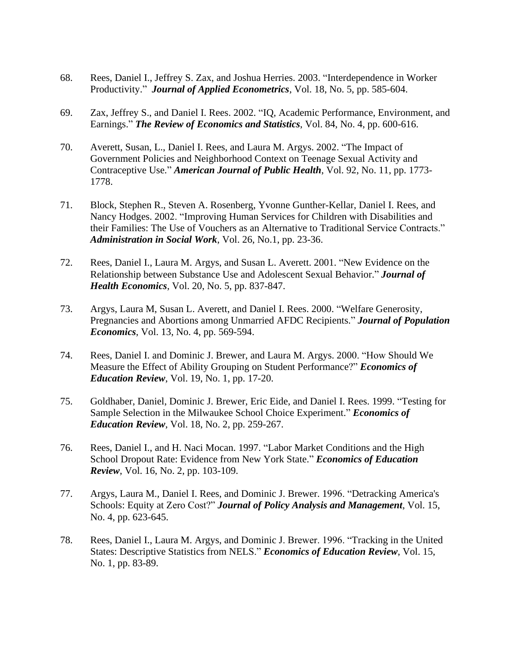- 68. Rees, Daniel I., Jeffrey S. Zax, and Joshua Herries. 2003. "Interdependence in Worker Productivity." *Journal of Applied Econometrics*, Vol. 18, No. 5, pp. 585-604.
- 69. Zax, Jeffrey S., and Daniel I. Rees. 2002. "IQ, Academic Performance, Environment, and Earnings." *The Review of Economics and Statistics*, Vol. 84, No. 4, pp. 600-616.
- 70. Averett, Susan, L., Daniel I. Rees, and Laura M. Argys. 2002. "The Impact of Government Policies and Neighborhood Context on Teenage Sexual Activity and Contraceptive Use." *American Journal of Public Health*, Vol. 92, No. 11, pp. 1773- 1778.
- 71. Block, Stephen R., Steven A. Rosenberg, Yvonne Gunther-Kellar, Daniel I. Rees, and Nancy Hodges. 2002. "Improving Human Services for Children with Disabilities and their Families: The Use of Vouchers as an Alternative to Traditional Service Contracts." *Administration in Social Work*, Vol. 26, No.1, pp. 23-36.
- 72. Rees, Daniel I., Laura M. Argys, and Susan L. Averett. 2001. "New Evidence on the Relationship between Substance Use and Adolescent Sexual Behavior." *Journal of Health Economics*, Vol. 20, No. 5, pp. 837-847.
- 73. Argys, Laura M, Susan L. Averett, and Daniel I. Rees. 2000. "Welfare Generosity, Pregnancies and Abortions among Unmarried AFDC Recipients." *Journal of Population Economics*, Vol. 13, No. 4, pp. 569-594.
- 74. Rees, Daniel I. and Dominic J. Brewer, and Laura M. Argys. 2000. "How Should We Measure the Effect of Ability Grouping on Student Performance?" *Economics of Education Review*, Vol. 19, No. 1, pp. 17-20.
- 75. Goldhaber, Daniel, Dominic J. Brewer, Eric Eide, and Daniel I. Rees. 1999. "Testing for Sample Selection in the Milwaukee School Choice Experiment." *Economics of Education Review*, Vol. 18, No. 2, pp. 259-267.
- 76. Rees, Daniel I., and H. Naci Mocan. 1997. "Labor Market Conditions and the High School Dropout Rate: Evidence from New York State." *Economics of Education Review*, Vol. 16, No. 2, pp. 103-109.
- 77. Argys, Laura M., Daniel I. Rees, and Dominic J. Brewer. 1996. "Detracking America's Schools: Equity at Zero Cost?" *Journal of Policy Analysis and Management*, Vol. 15, No. 4, pp. 623-645.
- 78. Rees, Daniel I., Laura M. Argys, and Dominic J. Brewer. 1996. "Tracking in the United States: Descriptive Statistics from NELS." *Economics of Education Review*, Vol. 15, No. 1, pp. 83-89.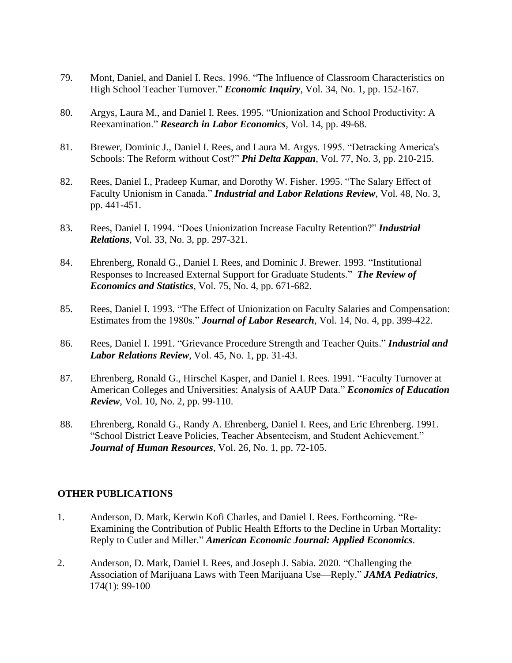- 79. Mont, Daniel, and Daniel I. Rees. 1996. "The Influence of Classroom Characteristics on High School Teacher Turnover." *Economic Inquiry*, Vol. 34, No. 1, pp. 152-167.
- 80. Argys, Laura M., and Daniel I. Rees. 1995. "Unionization and School Productivity: A Reexamination." *Research in Labor Economics*, Vol. 14, pp. 49-68.
- 81. Brewer, Dominic J., Daniel I. Rees, and Laura M. Argys. 1995. "Detracking America's Schools: The Reform without Cost?" *Phi Delta Kappan*, Vol. 77, No. 3, pp. 210-215.
- 82. Rees, Daniel I., Pradeep Kumar, and Dorothy W. Fisher. 1995. "The Salary Effect of Faculty Unionism in Canada." *Industrial and Labor Relations Review*, Vol. 48, No. 3, pp. 441-451.
- 83. Rees, Daniel I. 1994. "Does Unionization Increase Faculty Retention?" *Industrial Relations*, Vol. 33, No. 3, pp. 297-321.
- 84. Ehrenberg, Ronald G., Daniel I. Rees, and Dominic J. Brewer. 1993. "Institutional Responses to Increased External Support for Graduate Students." *The Review of Economics and Statistics*, Vol. 75, No. 4, pp. 671-682.
- 85. Rees, Daniel I. 1993. "The Effect of Unionization on Faculty Salaries and Compensation: Estimates from the 1980s." *Journal of Labor Research*, Vol. 14, No. 4, pp. 399-422.
- 86. Rees, Daniel I. 1991. "Grievance Procedure Strength and Teacher Quits." *Industrial and Labor Relations Review*, Vol. 45, No. 1, pp. 31-43.
- 87. Ehrenberg, Ronald G., Hirschel Kasper, and Daniel I. Rees. 1991. "Faculty Turnover at American Colleges and Universities: Analysis of AAUP Data." *Economics of Education Review*, Vol. 10, No. 2, pp. 99-110.
- 88. Ehrenberg, Ronald G., Randy A. Ehrenberg, Daniel I. Rees, and Eric Ehrenberg. 1991. "School District Leave Policies, Teacher Absenteeism, and Student Achievement." *Journal of Human Resources*, Vol. 26, No. 1, pp. 72-105.

## **OTHER PUBLICATIONS**

- 1. Anderson, D. Mark, Kerwin Kofi Charles, and Daniel I. Rees. Forthcoming. "Re-Examining the Contribution of Public Health Efforts to the Decline in Urban Mortality: Reply to Cutler and Miller." *American Economic Journal: Applied Economics*.
- 2. Anderson, D. Mark, Daniel I. Rees, and Joseph J. Sabia. 2020. "Challenging the Association of Marijuana Laws with Teen Marijuana Use—Reply." *JAMA Pediatrics*, 174(1): 99-100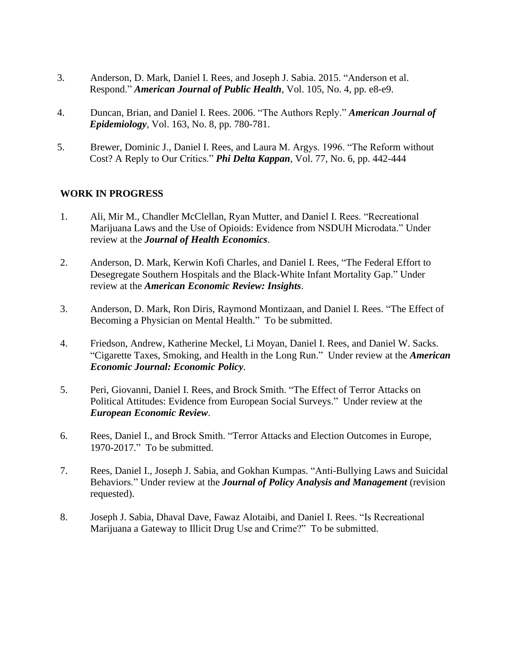- 3. Anderson, D. Mark, Daniel I. Rees, and Joseph J. Sabia. 2015. "Anderson et al. Respond." *American Journal of Public Health*, Vol. 105, No. 4, pp. e8-e9.
- 4. Duncan, Brian, and Daniel I. Rees. 2006. "The Authors Reply." *American Journal of Epidemiology*, Vol. 163, No. 8, pp. 780-781.
- 5. Brewer, Dominic J., Daniel I. Rees, and Laura M. Argys. 1996. "The Reform without Cost? A Reply to Our Critics." *Phi Delta Kappan*, Vol. 77, No. 6, pp. 442-444

# **WORK IN PROGRESS**

- 1. Ali, Mir M., Chandler McClellan, Ryan Mutter, and Daniel I. Rees. "Recreational Marijuana Laws and the Use of Opioids: Evidence from NSDUH Microdata." Under review at the *Journal of Health Economics*.
- 2. Anderson, D. Mark, Kerwin Kofi Charles, and Daniel I. Rees, "The Federal Effort to Desegregate Southern Hospitals and the Black-White Infant Mortality Gap." Under review at the *American Economic Review: Insights*.
- 3. Anderson, D. Mark, Ron Diris, Raymond Montizaan, and Daniel I. Rees. "The Effect of Becoming a Physician on Mental Health." To be submitted.
- 4. Friedson, Andrew, Katherine Meckel, Li Moyan, Daniel I. Rees, and Daniel W. Sacks. "Cigarette Taxes, Smoking, and Health in the Long Run." Under review at the *American Economic Journal: Economic Policy*.
- 5. Peri, Giovanni, Daniel I. Rees, and Brock Smith. "The Effect of Terror Attacks on Political Attitudes: Evidence from European Social Surveys." Under review at the *European Economic Review*.
- 6. Rees, Daniel I., and Brock Smith. "Terror Attacks and Election Outcomes in Europe, 1970-2017." To be submitted.
- 7. Rees, Daniel I., Joseph J. Sabia, and Gokhan Kumpas. "Anti-Bullying Laws and Suicidal Behaviors." Under review at the *Journal of Policy Analysis and Management* (revision requested).
- 8. Joseph J. Sabia, Dhaval Dave, Fawaz Alotaibi, and Daniel I. Rees. "Is Recreational Marijuana a Gateway to Illicit Drug Use and Crime?" To be submitted.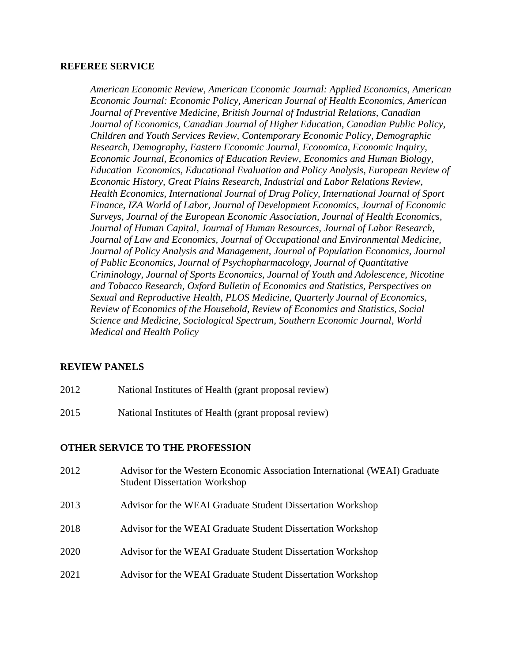## **REFEREE SERVICE**

*American Economic Review, American Economic Journal: Applied Economics, American Economic Journal: Economic Policy, American Journal of Health Economics, American Journal of Preventive Medicine, British Journal of Industrial Relations, Canadian Journal of Economics, Canadian Journal of Higher Education, Canadian Public Policy, Children and Youth Services Review, Contemporary Economic Policy, Demographic Research, Demography, Eastern Economic Journal, Economica, Economic Inquiry, Economic Journal, Economics of Education Review, Economics and Human Biology, Education Economics, Educational Evaluation and Policy Analysis, European Review of Economic History, Great Plains Research, Industrial and Labor Relations Review, Health Economics, International Journal of Drug Policy, International Journal of Sport Finance, IZA World of Labor, Journal of Development Economics, Journal of Economic Surveys, Journal of the European Economic Association, Journal of Health Economics, Journal of Human Capital, Journal of Human Resources, Journal of Labor Research, Journal of Law and Economics, Journal of Occupational and Environmental Medicine, Journal of Policy Analysis and Management, Journal of Population Economics, Journal of Public Economics, Journal of Psychopharmacology, Journal of Quantitative Criminology, Journal of Sports Economics, Journal of Youth and Adolescence, Nicotine and Tobacco Research, Oxford Bulletin of Economics and Statistics, Perspectives on Sexual and Reproductive Health, PLOS Medicine, Quarterly Journal of Economics, Review of Economics of the Household, Review of Economics and Statistics, Social Science and Medicine, Sociological Spectrum, Southern Economic Journal, World Medical and Health Policy*

# **REVIEW PANELS**

- 2012 National Institutes of Health (grant proposal review)
- 2015 National Institutes of Health (grant proposal review)

## **OTHER SERVICE TO THE PROFESSION**

| 2012 | Advisor for the Western Economic Association International (WEAI) Graduate<br><b>Student Dissertation Workshop</b> |
|------|--------------------------------------------------------------------------------------------------------------------|
| 2013 | Advisor for the WEAI Graduate Student Dissertation Workshop                                                        |
| 2018 | Advisor for the WEAI Graduate Student Dissertation Workshop                                                        |
| 2020 | Advisor for the WEAI Graduate Student Dissertation Workshop                                                        |
| 2021 | Advisor for the WEAI Graduate Student Dissertation Workshop                                                        |